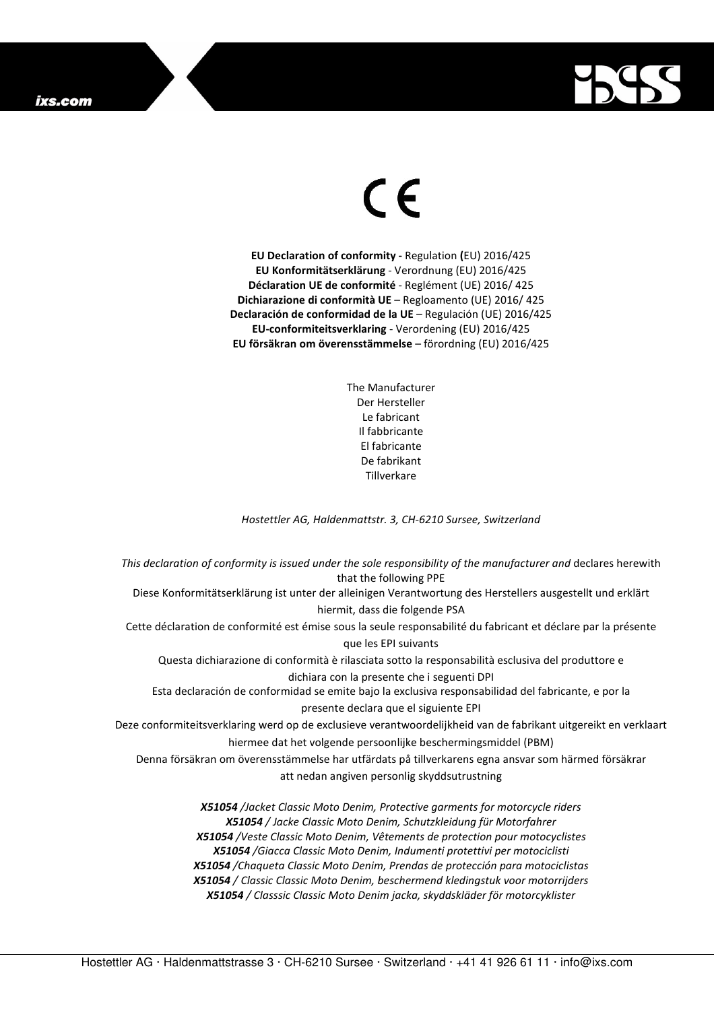## ixs.com



## $\in$

**EU Declaration of conformity -** Regulation **(**EU) 2016/425 **EU Konformitätserklärung** - Verordnung (EU) 2016/425 **Déclaration UE de conformité** - Reglément (UE) 2016/ 425 **Dichiarazione di conformità UE** – Regloamento (UE) 2016/ 425 **Declaración de conformidad de la UE** – Regulación (UE) 2016/425 **EU-conformiteitsverklaring** - Verordening (EU) 2016/425 **EU försäkran om överensstämmelse** – förordning (EU) 2016/425

> The Manufacturer Der Hersteller Le fabricant Il fabbricante El fabricante De fabrikant **Tillverkare**

*Hostettler AG, Haldenmattstr. 3, CH-6210 Sursee, Switzerland* 

*This declaration of conformity is issued under the sole responsibility of the manufacturer and* declares herewith that the following PPE Diese Konformitätserklärung ist unter der alleinigen Verantwortung des Herstellers ausgestellt und erklärt hiermit, dass die folgende PSA Cette déclaration de conformité est émise sous la seule responsabilité du fabricant et déclare par la présente que les EPI suivants Questa dichiarazione di conformità è rilasciata sotto la responsabilità esclusiva del produttore e dichiara con la presente che i seguenti DPI Esta declaración de conformidad se emite bajo la exclusiva responsabilidad del fabricante, e por la presente declara que el siguiente EPI Deze conformiteitsverklaring werd op de exclusieve verantwoordelijkheid van de fabrikant uitgereikt en verklaart hiermee dat het volgende persoonlijke beschermingsmiddel (PBM) Denna försäkran om överensstämmelse har utfärdats på tillverkarens egna ansvar som härmed försäkrar att nedan angiven personlig skyddsutrustning *X51054 /Jacket Classic Moto Denim, Protective garments for motorcycle riders X51054 / Jacke Classic Moto Denim, Schutzkleidung für Motorfahrer X51054 /Veste Classic Moto Denim, Vêtements de protection pour motocyclistes X51054 /Giacca Classic Moto Denim, Indumenti protettivi per motociclisti* 

*X51054 /Chaqueta Classic Moto Denim, Prendas de protección para motociclistas X51054 / Classic Classic Moto Denim, beschermend kledingstuk voor motorrijders X51054 / Classsic Classic Moto Denim jacka, skyddskläder för motorcyklister*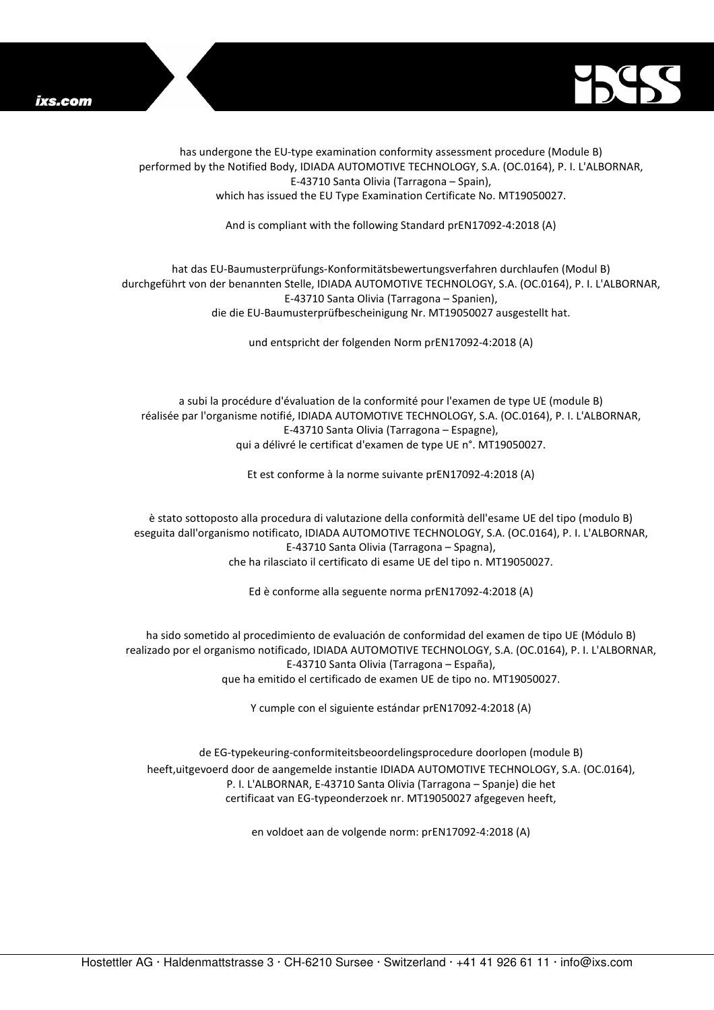



has undergone the EU-type examination conformity assessment procedure (Module B) performed by the Notified Body, IDIADA AUTOMOTIVE TECHNOLOGY, S.A. (OC.0164), P. I. L'ALBORNAR, E-43710 Santa Olivia (Tarragona – Spain), which has issued the EU Type Examination Certificate No. MT19050027.

And is compliant with the following Standard prEN17092-4:2018 (A)

## hat das EU-Baumusterprüfungs-Konformitätsbewertungsverfahren durchlaufen (Modul B) durchgeführt von der benannten Stelle, IDIADA AUTOMOTIVE TECHNOLOGY, S.A. (OC.0164), P. I. L'ALBORNAR, E-43710 Santa Olivia (Tarragona – Spanien), die die EU-Baumusterprüfbescheinigung Nr. MT19050027 ausgestellt hat.

und entspricht der folgenden Norm prEN17092-4:2018 (A)

a subi la procédure d'évaluation de la conformité pour l'examen de type UE (module B) réalisée par l'organisme notifié, IDIADA AUTOMOTIVE TECHNOLOGY, S.A. (OC.0164), P. I. L'ALBORNAR, E-43710 Santa Olivia (Tarragona – Espagne), qui a délivré le certificat d'examen de type UE n°. MT19050027.

Et est conforme à la norme suivante prEN17092-4:2018 (A)

è stato sottoposto alla procedura di valutazione della conformità dell'esame UE del tipo (modulo B) eseguita dall'organismo notificato, IDIADA AUTOMOTIVE TECHNOLOGY, S.A. (OC.0164), P. I. L'ALBORNAR, E-43710 Santa Olivia (Tarragona – Spagna), che ha rilasciato il certificato di esame UE del tipo n. MT19050027.

Ed è conforme alla seguente norma prEN17092-4:2018 (A)

ha sido sometido al procedimiento de evaluación de conformidad del examen de tipo UE (Módulo B) realizado por el organismo notificado, IDIADA AUTOMOTIVE TECHNOLOGY, S.A. (OC.0164), P. I. L'ALBORNAR, E-43710 Santa Olivia (Tarragona – España), que ha emitido el certificado de examen UE de tipo no. MT19050027.

Y cumple con el siguiente estándar prEN17092-4:2018 (A)

de EG-typekeuring-conformiteitsbeoordelingsprocedure doorlopen (module B) heeft,uitgevoerd door de aangemelde instantie IDIADA AUTOMOTIVE TECHNOLOGY, S.A. (OC.0164), P. I. L'ALBORNAR, E-43710 Santa Olivia (Tarragona – Spanje) die het certificaat van EG-typeonderzoek nr. MT19050027 afgegeven heeft,

en voldoet aan de volgende norm: prEN17092-4:2018 (A)